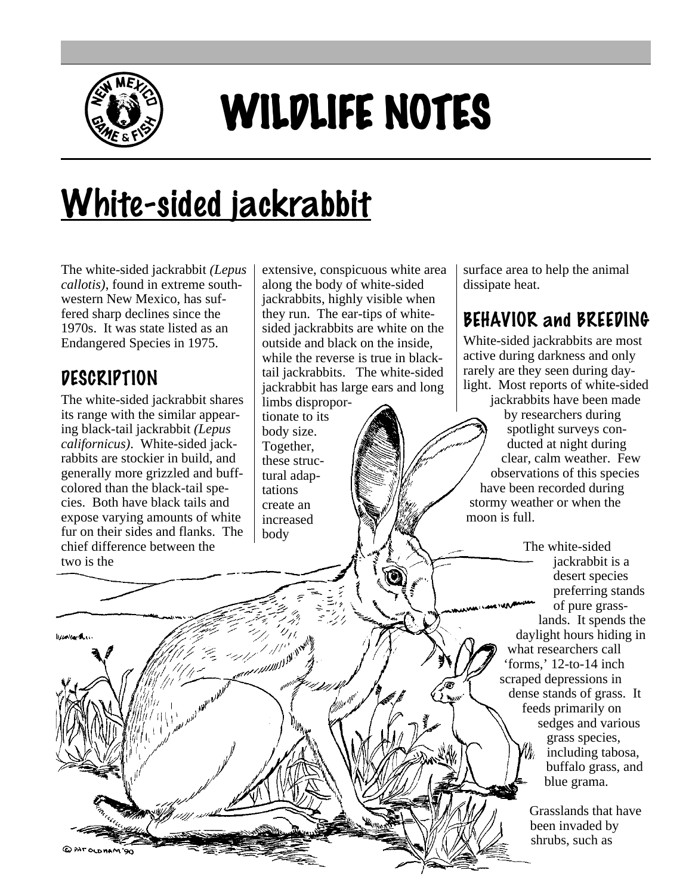

# WILDLIFE NOTES

# White-sided jackrabbit

The white-sided jackrabbit *(Lepus callotis)*, found in extreme southwestern New Mexico, has suffered sharp declines since the 1970s. It was state listed as an Endangered Species in 1975.

#### **DESCRIPTION**

*<u>Browner</u>* 

@PATOWHAM'90

The white-sided jackrabbit shares its range with the similar appearing black-tail jackrabbit *(Lepus californicus)*. White-sided jackrabbits are stockier in build, and generally more grizzled and buffcolored than the black-tail species. Both have black tails and expose varying amounts of white fur on their sides and flanks. The chief difference between the two is the

extensive, conspicuous white area along the body of white-sided jackrabbits, highly visible when they run. The ear-tips of whitesided jackrabbits are white on the outside and black on the inside, while the reverse is true in blacktail jackrabbits. The white-sided jackrabbit has large ears and long limbs disproportionate to its body size. Together, these structural adap-

tations create an increased body

surface area to help the animal dissipate heat.

## BEHAVIOR and BREEDING

White-sided jackrabbits are most active during darkness and only rarely are they seen during daylight. Most reports of white-sided

jackrabbits have been made by researchers during spotlight surveys conducted at night during clear, calm weather. Few observations of this species have been recorded during stormy weather or when the moon is full.

> The white-sided jackrabbit is a desert species preferring stands of pure grasslands. It spends the daylight hours hiding in what researchers call 'forms,' 12-to-14 inch scraped depressions in dense stands of grass. It feeds primarily on sedges and various grass species, including tabosa, buffalo grass, and blue grama.

> > Grasslands that have been invaded by shrubs, such as